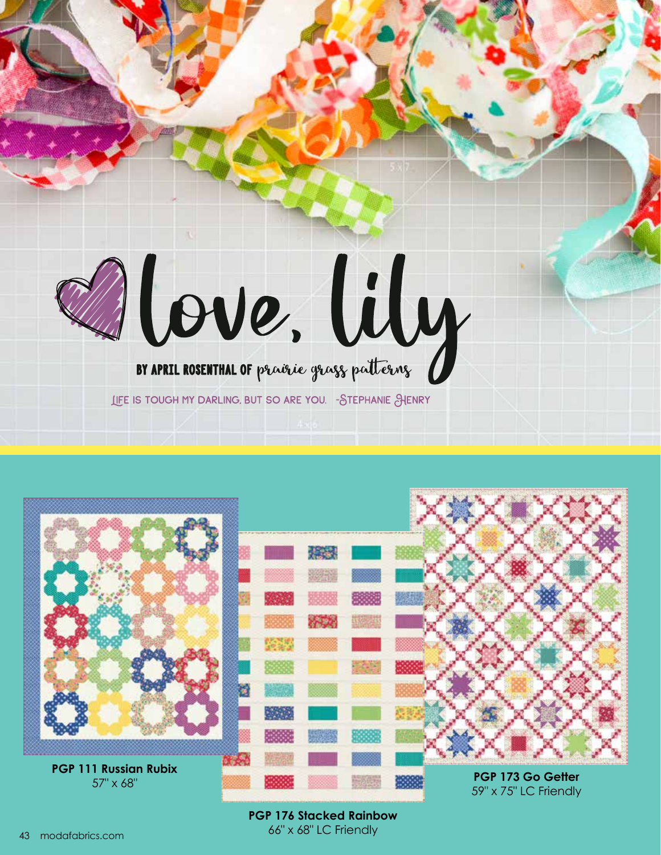



**PGP 176 Stacked Rainbow** 66" x 68" LC Friendly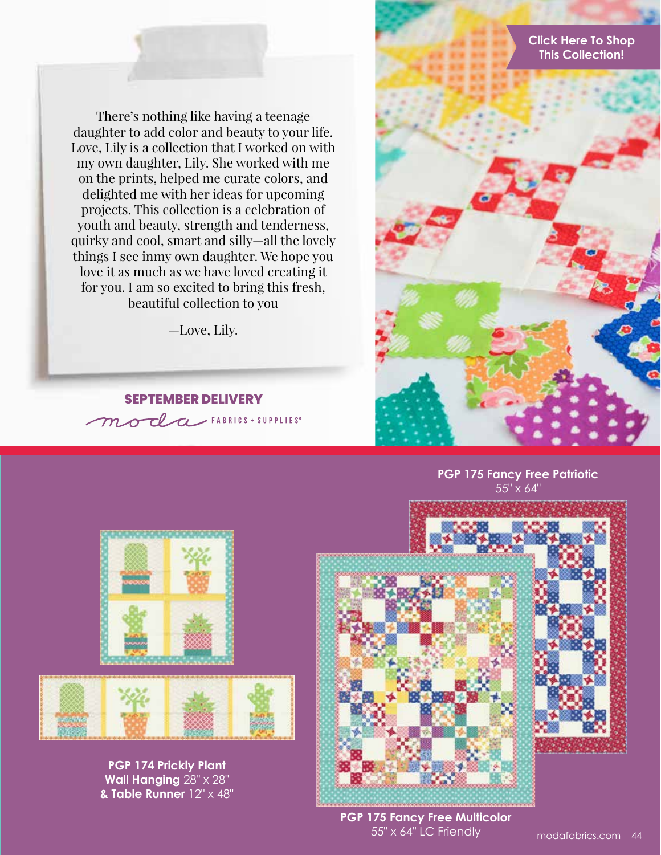There's nothing like having a teenage daughter to add color and beauty to your life. Love, Lily is a collection that I worked on with my own daughter, Lily. She worked with me on the prints, helped me curate colors, and delighted me with her ideas for upcoming projects. This collection is a celebration of youth and beauty, strength and tenderness, quirky and cool, smart and silly—all the lovely things I see inmy own daughter. We hope you love it as much as we have loved creating it for you. I am so excited to bring this fresh, beautiful collection to you

—Love, Lily.

## **SEPTEMBER DELIVERY** moda FABRICS + SUPPLIES



## **PGP 175 Fancy Free Patriotic** 55" x 64"



**PGP 174 Prickly Plant Wall Hanging** 28" x 28" **& Table Runner** 12" x 48"



**PGP 175 Fancy Free Multicolor** 55" x 64" LC Friendly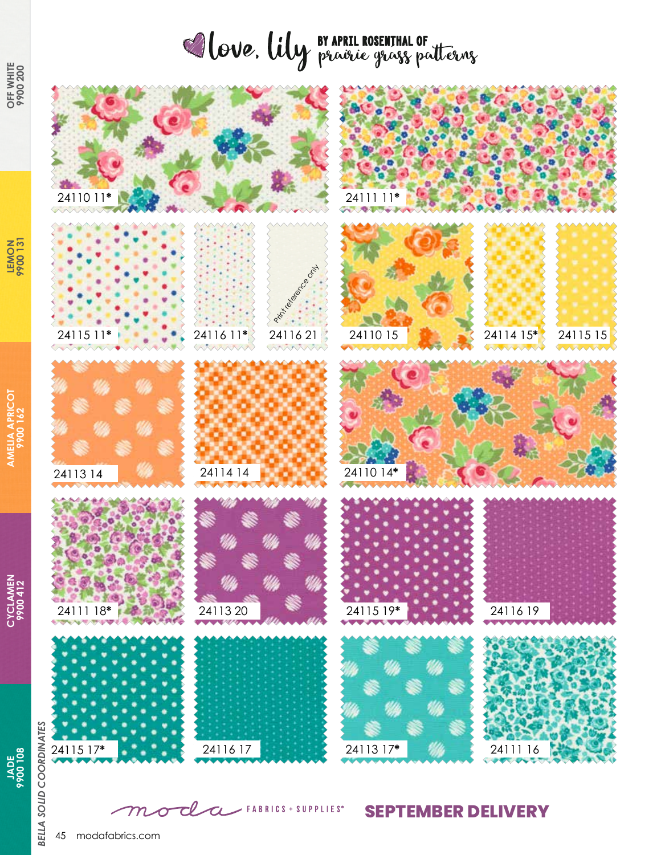## Clove. Lily BY APRIL ROSENTHAL OF



**SEPTEMBER DELIVERY**

FABRICS + SUPPLIES®

45 modafabrics.com